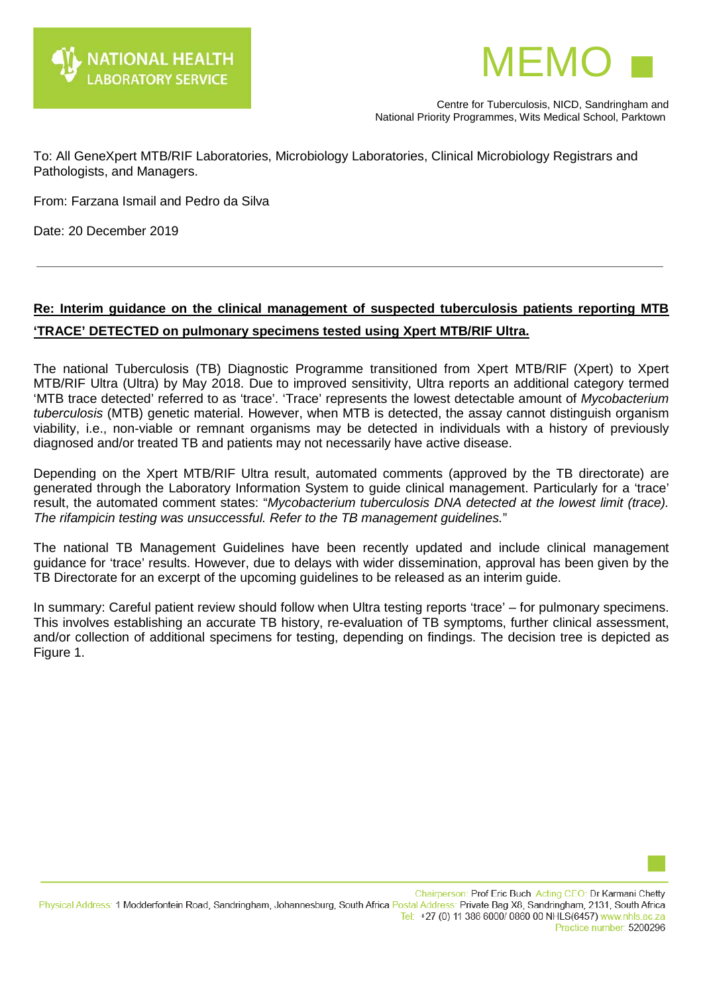



 Centre for Tuberculosis, NICD, Sandringham and National Priority Programmes, Wits Medical School, Parktown

To: All GeneXpert MTB/RIF Laboratories, Microbiology Laboratories, Clinical Microbiology Registrars and Pathologists, and Managers.

From: Farzana Ismail and Pedro da Silva

Date: 20 December 2019

## **Re: Interim guidance on the clinical management of suspected tuberculosis patients reporting MTB 'TRACE' DETECTED on pulmonary specimens tested using Xpert MTB/RIF Ultra.**

The national Tuberculosis (TB) Diagnostic Programme transitioned from Xpert MTB/RIF (Xpert) to Xpert MTB/RIF Ultra (Ultra) by May 2018. Due to improved sensitivity, Ultra reports an additional category termed 'MTB trace detected' referred to as 'trace'. 'Trace' represents the lowest detectable amount of *Mycobacterium tuberculosis* (MTB) genetic material. However, when MTB is detected, the assay cannot distinguish organism viability, i.e., non-viable or remnant organisms may be detected in individuals with a history of previously diagnosed and/or treated TB and patients may not necessarily have active disease.

Depending on the Xpert MTB/RIF Ultra result, automated comments (approved by the TB directorate) are generated through the Laboratory Information System to guide clinical management. Particularly for a 'trace' result, the automated comment states: "*Mycobacterium tuberculosis DNA detected at the lowest limit (trace). The rifampicin testing was unsuccessful. Refer to the TB management guidelines.*"

The national TB Management Guidelines have been recently updated and include clinical management guidance for 'trace' results. However, due to delays with wider dissemination, approval has been given by the TB Directorate for an excerpt of the upcoming guidelines to be released as an interim guide.

In summary: Careful patient review should follow when Ultra testing reports 'trace' – for pulmonary specimens. This involves establishing an accurate TB history, re-evaluation of TB symptoms, further clinical assessment, and/or collection of additional specimens for testing, depending on findings. The decision tree is depicted as Figure 1.



Chairperson: Prof Eric Buch Acting CEO: Dr Karmani Chetty Physical Address: 1 Modderfontein Road, Sandringham, Johannesburg, South Africa Postal Address: Private Bag X8, Sandringham, 2131, South Africa Tel: +27 (0) 11 386 6000/ 0860 00 NHLS(6457) www.nhls.ac.za Practice number: 5200296